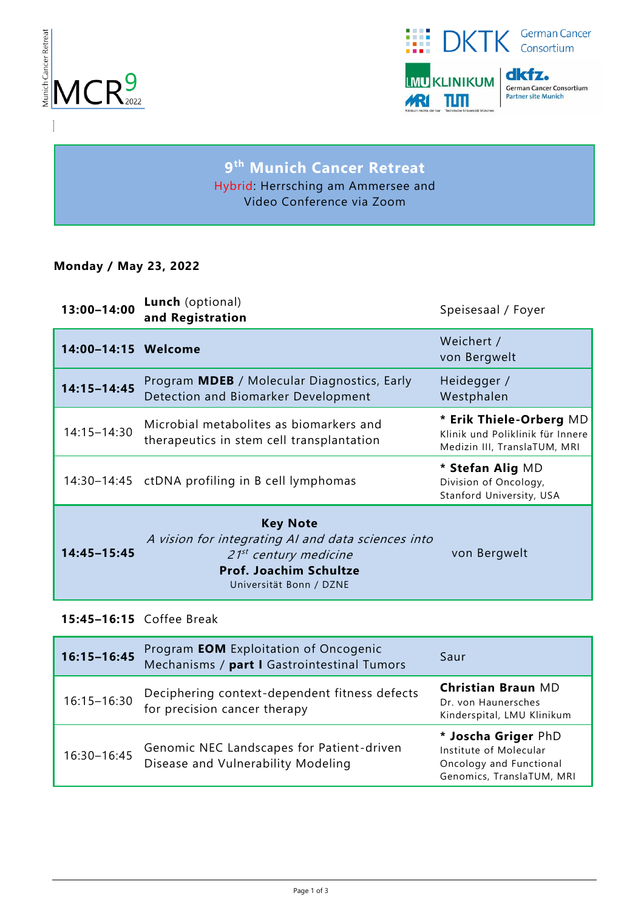



# **9 th Munich Cancer Retreat** Hybrid: Herrsching am Ammersee and Video Conference via Zoom

### **Monday / May 23, 2022**

| 13:00-14:00         | <b>Lunch</b> (optional)<br>and Registration                                                                                                                     | Speisesaal / Foyer                                                                          |
|---------------------|-----------------------------------------------------------------------------------------------------------------------------------------------------------------|---------------------------------------------------------------------------------------------|
| 14:00-14:15 Welcome |                                                                                                                                                                 | Weichert /<br>von Bergwelt                                                                  |
| $14:15 - 14:45$     | Program MDEB / Molecular Diagnostics, Early<br>Detection and Biomarker Development                                                                              | Heidegger /<br>Westphalen                                                                   |
| 14:15-14:30         | Microbial metabolites as biomarkers and<br>therapeutics in stem cell transplantation                                                                            | * Erik Thiele-Orberg MD<br>Klinik und Poliklinik für Innere<br>Medizin III, TranslaTUM, MRI |
|                     | 14:30-14:45 ctDNA profiling in B cell lymphomas                                                                                                                 | * Stefan Alig MD<br>Division of Oncology,<br>Stanford University, USA                       |
| 14:45-15:45         | <b>Key Note</b><br>A vision for integrating AI and data sciences into<br>$21^{st}$ century medicine<br><b>Prof. Joachim Schultze</b><br>Universität Bonn / DZNE | von Bergwelt                                                                                |

## **15:45–16:15** Coffee Break

| $16:15 - 16:45$ | Program <b>EOM</b> Exploitation of Oncogenic<br>Mechanisms / part I Gastrointestinal Tumors | Saur                                                                                                  |
|-----------------|---------------------------------------------------------------------------------------------|-------------------------------------------------------------------------------------------------------|
| $16:15 - 16:30$ | Deciphering context-dependent fitness defects<br>for precision cancer therapy               | <b>Christian Braun MD</b><br>Dr. von Haunersches<br>Kinderspital, LMU Klinikum                        |
| 16:30-16:45     | Genomic NEC Landscapes for Patient-driven<br>Disease and Vulnerability Modeling             | * Joscha Griger PhD<br>Institute of Molecular<br>Oncology and Functional<br>Genomics, TranslaTUM, MRI |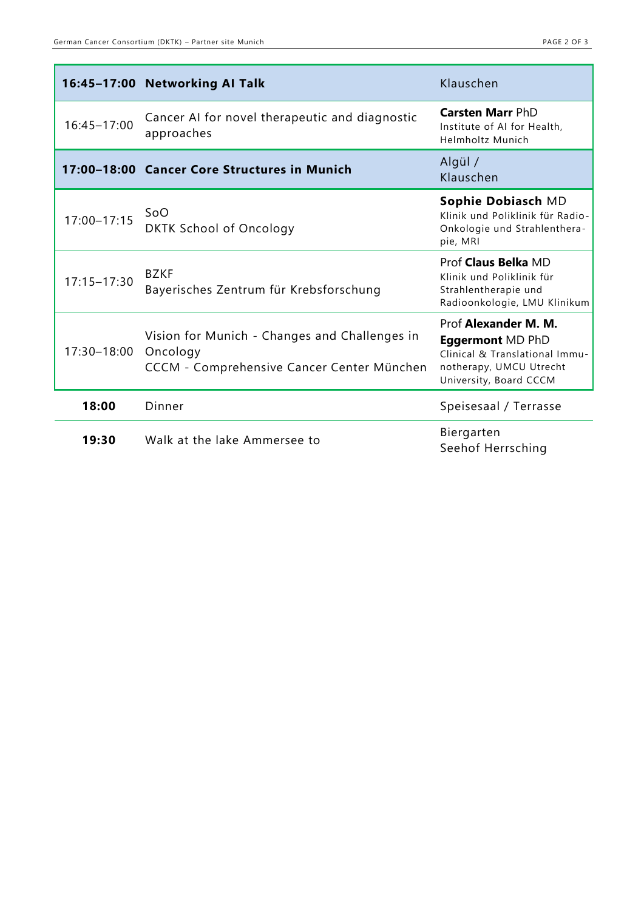|                 | 16:45-17:00 Networking AI Talk                                                                          | Klauschen                                                                                                                              |
|-----------------|---------------------------------------------------------------------------------------------------------|----------------------------------------------------------------------------------------------------------------------------------------|
| 16:45-17:00     | Cancer AI for novel therapeutic and diagnostic<br>approaches                                            | <b>Carsten Marr PhD</b><br>Institute of AI for Health,<br>Helmholtz Munich                                                             |
|                 | 17:00-18:00 Cancer Core Structures in Munich                                                            | Algül /<br>Klauschen                                                                                                                   |
| $17:00 - 17:15$ | SoO<br><b>DKTK School of Oncology</b>                                                                   | Sophie Dobiasch MD<br>Klinik und Poliklinik für Radio-<br>Onkologie und Strahlenthera-<br>pie, MRI                                     |
| $17:15 - 17:30$ | <b>BZKF</b><br>Bayerisches Zentrum für Krebsforschung                                                   | Prof Claus Belka MD<br>Klinik und Poliklinik für<br>Strahlentherapie und<br>Radioonkologie, LMU Klinikum                               |
| 17:30-18:00     | Vision for Munich - Changes and Challenges in<br>Oncology<br>CCCM - Comprehensive Cancer Center München | Prof Alexander M. M.<br><b>Eggermont MD PhD</b><br>Clinical & Translational Immu-<br>notherapy, UMCU Utrecht<br>University, Board CCCM |
| 18:00           | Dinner                                                                                                  | Speisesaal / Terrasse                                                                                                                  |
| 19:30           | Walk at the lake Ammersee to                                                                            | Biergarten<br>Seehof Herrsching                                                                                                        |